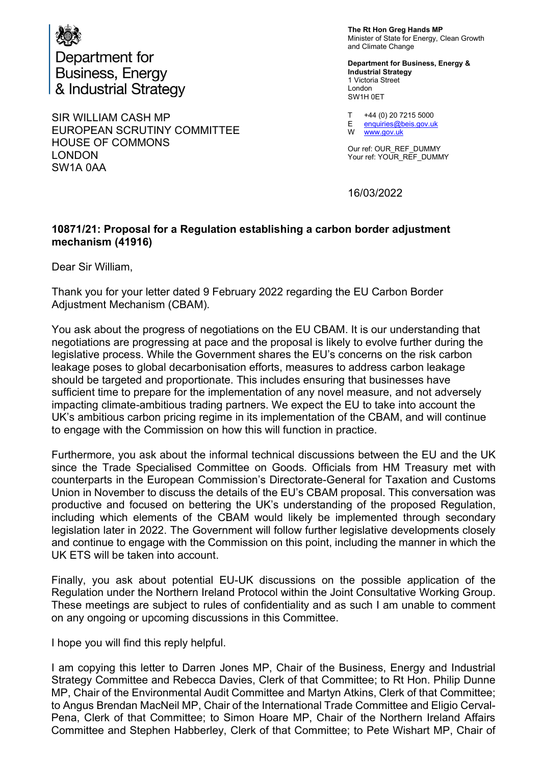

 SIR WILLIAM CASH MP HOUSE OF COMMONS SW1A 0AA LONDON Our ref: OUR\_REF\_DUMMY Your ref: YOUR\_REF\_DUMMY EUROPEAN SCRUTINY COMMITTEE

 The Rt Hon Greg Hands MP Minister of State for Energy, Clean Growth and Climate Change

 Department for Business, Energy & Industrial Strategy 1 Victoria Street London SW1H 0ET

 +44 (0) 20 7215 5000 enquiries@beis.gov.uk T E W www.gov.uk

Our ref: OUR REF DUMMY

16/03/2022

## 10871/21: Proposal for a Regulation establishing a carbon border adjustment mechanism (41916)

Dear Sir William,

 Thank you for your letter dated 9 February 2022 regarding the EU Carbon Border Adjustment Mechanism (CBAM).

 You ask about the progress of negotiations on the EU CBAM. It is our understanding that negotiations are progressing at pace and the proposal is likely to evolve further during the legislative process. While the Government shares the EU's concerns on the risk carbon leakage poses to global decarbonisation efforts, measures to address carbon leakage should be targeted and proportionate. This includes ensuring that businesses have sufficient time to prepare for the implementation of any novel measure, and not adversely impacting climate-ambitious trading partners. We expect the EU to take into account the UK's ambitious carbon pricing regime in its implementation of the CBAM, and will continue to engage with the Commission on how this will function in practice.

 Furthermore, you ask about the informal technical discussions between the EU and the UK since the Trade Specialised Committee on Goods. Officials from HM Treasury met with counterparts in the European Commission's Directorate-General for Taxation and Customs Union in November to discuss the details of the EU's CBAM proposal. This conversation was productive and focused on bettering the UK's understanding of the proposed Regulation, including which elements of the CBAM would likely be implemented through secondary legislation later in 2022. The Government will follow further legislative developments closely and continue to engage with the Commission on this point, including the manner in which the UK ETS will be taken into account.

 Finally, you ask about potential EU-UK discussions on the possible application of the Regulation under the Northern Ireland Protocol within the Joint Consultative Working Group. These meetings are subject to rules of confidentiality and as such I am unable to comment on any ongoing or upcoming discussions in this Committee.

I hope you will find this reply helpful.

 I am copying this letter to Darren Jones MP, Chair of the Business, Energy and Industrial Strategy Committee and Rebecca Davies, Clerk of that Committee; to Rt Hon. Philip Dunne MP, Chair of the Environmental Audit Committee and Martyn Atkins, Clerk of that Committee; to Angus Brendan MacNeil MP, Chair of the International Trade Committee and Eligio Cerval- Pena, Clerk of that Committee; to Simon Hoare MP, Chair of the Northern Ireland Affairs Committee and Stephen Habberley, Clerk of that Committee; to Pete Wishart MP, Chair of